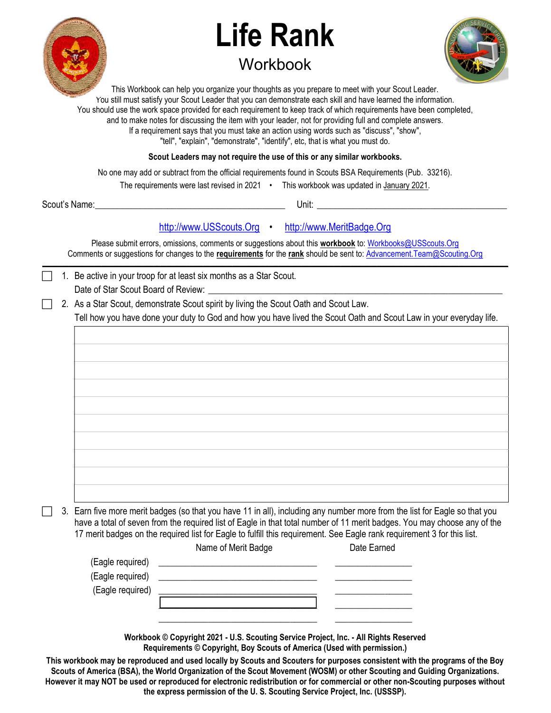

## Life Rank **Workbook**



This Workbook can help you organize your thoughts as you prepare to meet with your Scout Leader. You still must satisfy your Scout Leader that you can demonstrate each skill and have learned the information. You should use the work space provided for each requirement to keep track of which requirements have been completed, and to make notes for discussing the item with your leader, not for providing full and complete answers. If a requirement says that you must take an action using words such as "discuss", "show", "tell", "explain", "demonstrate", "identify", etc, that is what you must do.

Scout Leaders may not require the use of this or any similar workbooks.

No one may add or subtract from the official requirements found in Scouts BSA Requirements (Pub. 33216).

The requirements were last revised in 2021 • This workbook was updated in January 2021.

Scout's Name: \_\_\_\_\_\_\_\_\_\_\_\_\_\_\_\_\_\_\_\_\_\_\_\_\_\_\_\_\_\_\_\_\_\_\_\_\_\_\_\_\_\_ Unit: \_\_\_\_\_\_\_\_\_\_\_\_\_\_\_\_\_\_\_\_\_\_\_\_\_\_\_\_\_\_\_\_\_\_\_\_\_\_\_\_\_\_

## http://www.USScouts.Org • http://www.MeritBadge.Org

Please submit errors, omissions, comments or suggestions about this workbook to: Workbooks@USScouts.Org Comments or suggestions for changes to the requirements for the rank should be sent to: Advancement. Team@Scouting.Org  $\mathcal{L} = \{ \mathcal{L} = \{ \mathcal{L} = \{ \mathcal{L} = \{ \mathcal{L} = \{ \mathcal{L} = \{ \mathcal{L} = \{ \mathcal{L} = \{ \mathcal{L} = \{ \mathcal{L} = \{ \mathcal{L} = \{ \mathcal{L} = \{ \mathcal{L} = \{ \mathcal{L} = \{ \mathcal{L} = \{ \mathcal{L} = \{ \mathcal{L} = \{ \mathcal{L} = \{ \mathcal{L} = \{ \mathcal{L} = \{ \mathcal{L} = \{ \mathcal{L} = \{ \mathcal{L} = \{ \mathcal{L} = \{ \mathcal{$ 

1. Be active in your troop for at least six months as a Star Scout.

Date of Star Scout Board of Review:

2. As a Star Scout, demonstrate Scout spirit by living the Scout Oath and Scout Law.

Tell how you have done your duty to God and how you have lived the Scout Oath and Scout Law in your everyday life.

 3. Earn five more merit badges (so that you have 11 in all), including any number more from the list for Eagle so that you have a total of seven from the required list of Eagle in that total number of 11 merit badges. You may choose any of the 17 merit badges on the required list for Eagle to fulfill this requirement. See Eagle rank requirement 3 for this list. Name of Merit Dade

|                  | Name of Merit Badge | Date Earned |
|------------------|---------------------|-------------|
| (Eagle required) |                     |             |
| (Eagle required) |                     |             |
| (Eagle required) |                     |             |
|                  |                     |             |
|                  |                     |             |
|                  |                     |             |

Workbook © Copyright 2021 - U.S. Scouting Service Project, Inc. - All Rights Reserved Requirements © Copyright, Boy Scouts of America (Used with permission.)

This workbook may be reproduced and used locally by Scouts and Scouters for purposes consistent with the programs of the Boy Scouts of America (BSA), the World Organization of the Scout Movement (WOSM) or other Scouting and Guiding Organizations. However it may NOT be used or reproduced for electronic redistribution or for commercial or other non-Scouting purposes without the express permission of the U. S. Scouting Service Project, Inc. (USSSP).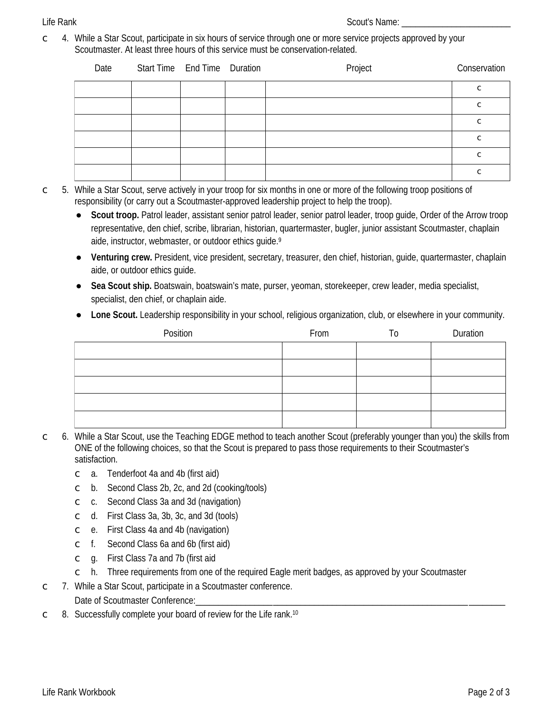## **Life Rank**

4. While a Star Scout, participate in six hours of service through one or more service projects approved by your  $\overline{C}$ Scoutmaster. At least three hours of this service must be conservation-related.

| Date | Start Time End Time Duration |  | Project | Conservation |
|------|------------------------------|--|---------|--------------|
|      |                              |  |         | C            |
|      |                              |  |         | $\subset$    |
|      |                              |  |         | $\subset$    |
|      |                              |  |         | $\subset$    |
|      |                              |  |         | $\subset$    |
|      |                              |  |         | ⌒            |

- 5. While a Star Scout, serve actively in your troop for six months in one or more of the following troop positions of  $\mathsf{C}$ responsibility (or carry out a Scoutmaster-approved leadership project to help the troop).
	- Scout troop. Patrol leader, assistant senior patrol leader, senior patrol leader, troop quide, Order of the Arrow troop  $\bullet$ representative, den chief, scribe, librarian, historian, quartermaster, bugler, junior assistant Scoutmaster, chaplain aide, instructor, webmaster, or outdoor ethics quide.<sup>9</sup>
	- Venturing crew. President, vice president, secretary, treasurer, den chief, historian, quide, quartermaster, chaplain aide, or outdoor ethics quide.
	- Sea Scout ship. Boatswain, boatswain's mate, purser, yeoman, storekeeper, crew leader, media specialist,  $\bullet$ specialist, den chief, or chaplain aide.
	- Lone Scout. Leadership responsibility in your school, religious organization, club, or elsewhere in your community.

| Position | From | 10 | <b>Duration</b> |
|----------|------|----|-----------------|
|          |      |    |                 |
|          |      |    |                 |
|          |      |    |                 |
|          |      |    |                 |
|          |      |    |                 |

- 6. While a Star Scout, use the Teaching EDGE method to teach another Scout (preferably younger than you) the skills from  $\mathsf{C}$ ONE of the following choices, so that the Scout is prepared to pass those requirements to their Scoutmaster's satisfaction.
	- a. Tenderfoot 4a and 4b (first aid)  $\overline{C}$
	- b. Second Class 2b, 2c, and 2d (cooking/tools)  $\mathsf{C}$
	- c. Second Class 3a and 3d (navigation)  $\mathsf{C}$
	- d. First Class 3a, 3b, 3c, and 3d (tools)  $\mathsf{C}$
	- e. First Class 4a and 4b (navigation)  $\mathsf{C}$
	- $\subset$  f. Second Class 6a and 6b (first aid)
	- q. First Class 7a and 7b (first aid  $\mathsf{C}$
	- h. Three requirements from one of the required Eagle merit badges, as approved by your Scoutmaster  $\mathsf{C}$
- 7. While a Star Scout, participate in a Scoutmaster conference.  $\subset$ Date of Scoutmaster Conference:
- 8. Successfully complete your board of review for the Life rank.<sup>10</sup>  $\mathsf{C}$